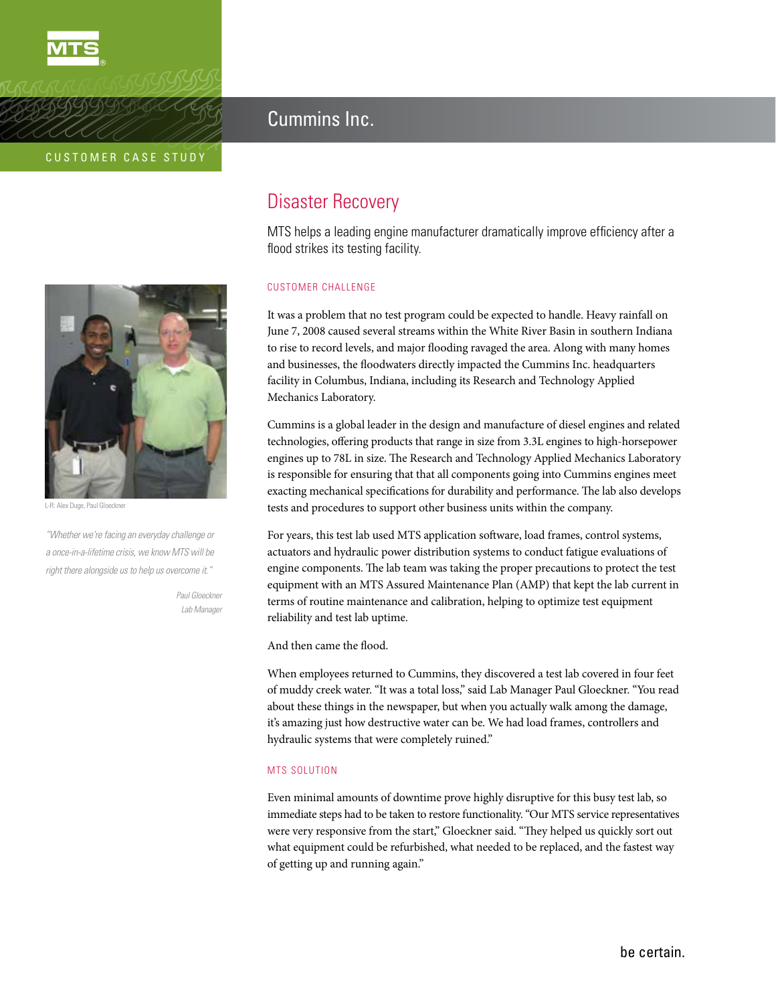

**MTS** 



L-R: Alex Duge, Paul Gloeckne

*"Whether we're facing an everyday challenge or a once-in-a-lifetime crisis, we know MTS will be right there alongside us to help us overcome it."* 

> *Paul Gloeckner Lab Manager*

# Cummins Inc.

# Disaster Recovery

MTS helps a leading engine manufacturer dramatically improve efficiency after a flood strikes its testing facility.

# CUSTOMER CHALLENGE

It was a problem that no test program could be expected to handle. Heavy rainfall on June 7, 2008 caused several streams within the White River Basin in southern Indiana to rise to record levels, and major flooding ravaged the area. Along with many homes and businesses, the floodwaters directly impacted the Cummins Inc. headquarters facility in Columbus, Indiana, including its Research and Technology Applied Mechanics Laboratory.

Cummins is a global leader in the design and manufacture of diesel engines and related technologies, offering products that range in size from 3.3L engines to high-horsepower engines up to 78L in size. The Research and Technology Applied Mechanics Laboratory is responsible for ensuring that that all components going into Cummins engines meet exacting mechanical specifications for durability and performance. The lab also develops tests and procedures to support other business units within the company.

For years, this test lab used MTS application software, load frames, control systems, actuators and hydraulic power distribution systems to conduct fatigue evaluations of engine components. The lab team was taking the proper precautions to protect the test equipment with an MTS Assured Maintenance Plan (AMP) that kept the lab current in terms of routine maintenance and calibration, helping to optimize test equipment reliability and test lab uptime.

And then came the flood.

When employees returned to Cummins, they discovered a test lab covered in four feet of muddy creek water. "It was a total loss," said Lab Manager Paul Gloeckner. "You read about these things in the newspaper, but when you actually walk among the damage, it's amazing just how destructive water can be. We had load frames, controllers and hydraulic systems that were completely ruined."

### MTS SOLUTION

Even minimal amounts of downtime prove highly disruptive for this busy test lab, so immediate steps had to be taken to restore functionality. "Our MTS service representatives were very responsive from the start," Gloeckner said. "They helped us quickly sort out what equipment could be refurbished, what needed to be replaced, and the fastest way of getting up and running again."